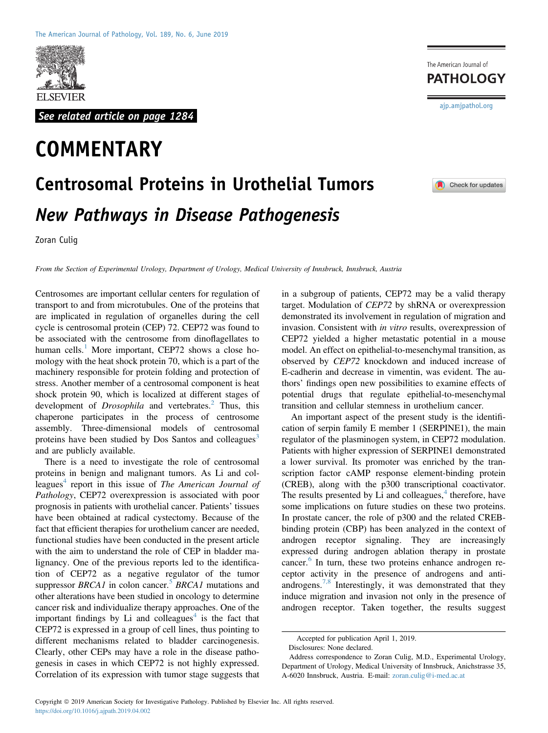

See related article on page 1284

## **COMMENTARY**

## Centrosomal Proteins in Urothelial Tumors New Pathways in Disease Pathogenesis

Zoran Culig

From the Section of Experimental Urology, Department of Urology, Medical University of Innsbruck, Innsbruck, Austria

Centrosomes are important cellular centers for regulation of transport to and from microtubules. One of the proteins that are implicated in regulation of organelles during the cell cycle is centrosomal protein (CEP) 72. CEP72 was found to be associated with the centrosome from dinoflagellates to human cells.<sup>[1](#page-1-0)</sup> More important, CEP72 shows a close homology with the heat shock protein 70, which is a part of the machinery responsible for protein folding and protection of stress. Another member of a centrosomal component is heat shock protein 90, which is localized at different stages of development of *Drosophila* and vertebrates.<sup>2</sup> Thus, this chaperone participates in the process of centrosome assembly. Three-dimensional models of centrosomal proteins have been studied by Dos Santos and colleagues<sup>[3](#page-1-2)</sup> and are publicly available.

There is a need to investigate the role of centrosomal proteins in benign and malignant tumors. As Li and col-leagues<sup>[4](#page-1-3)</sup> report in this issue of *The American Journal of* Pathology, CEP72 overexpression is associated with poor prognosis in patients with urothelial cancer. Patients' tissues have been obtained at radical cystectomy. Because of the fact that efficient therapies for urothelium cancer are needed, functional studies have been conducted in the present article with the aim to understand the role of CEP in bladder malignancy. One of the previous reports led to the identification of CEP72 as a negative regulator of the tumor suppressor  $BRCA1$  in colon cancer.<sup>[5](#page-1-4)</sup> BRCA1 mutations and other alterations have been studied in oncology to determine cancer risk and individualize therapy approaches. One of the important findings by Li and colleagues<sup>[4](#page-1-3)</sup> is the fact that CEP72 is expressed in a group of cell lines, thus pointing to different mechanisms related to bladder carcinogenesis. Clearly, other CEPs may have a role in the disease pathogenesis in cases in which CEP72 is not highly expressed. Correlation of its expression with tumor stage suggests that

in a subgroup of patients, CEP72 may be a valid therapy target. Modulation of CEP72 by shRNA or overexpression demonstrated its involvement in regulation of migration and invasion. Consistent with in vitro results, overexpression of CEP72 yielded a higher metastatic potential in a mouse model. An effect on epithelial-to-mesenchymal transition, as observed by CEP72 knockdown and induced increase of E-cadherin and decrease in vimentin, was evident. The authors' findings open new possibilities to examine effects of potential drugs that regulate epithelial-to-mesenchymal transition and cellular stemness in urothelium cancer.

An important aspect of the present study is the identification of serpin family E member 1 (SERPINE1), the main regulator of the plasminogen system, in CEP72 modulation. Patients with higher expression of SERPINE1 demonstrated a lower survival. Its promoter was enriched by the transcription factor cAMP response element-binding protein (CREB), along with the p300 transcriptional coactivator. The results presented by Li and colleagues, $4$  therefore, have some implications on future studies on these two proteins. In prostate cancer, the role of p300 and the related CREBbinding protein (CBP) has been analyzed in the context of androgen receptor signaling. They are increasingly expressed during androgen ablation therapy in prostate cancer.<sup>[6](#page-1-5)</sup> In turn, these two proteins enhance androgen receptor activity in the presence of androgens and anti-androgens.<sup>[7,8](#page-1-6)</sup> Interestingly, it was demonstrated that they induce migration and invasion not only in the presence of androgen receptor. Taken together, the results suggest

The American Journal of **PATHOLOGY** 

[ajp.amjpathol.org](http://ajp.amjpathol.org)



Accepted for publication April 1, 2019.

Disclosures: None declared.

Address correspondence to Zoran Culig, M.D., Experimental Urology, Department of Urology, Medical University of Innsbruck, Anichstrasse 35, A-6020 Innsbruck, Austria. E-mail: [zoran.culig@i-med.ac.at](mailto:zoran.culig@i-med.ac.at)